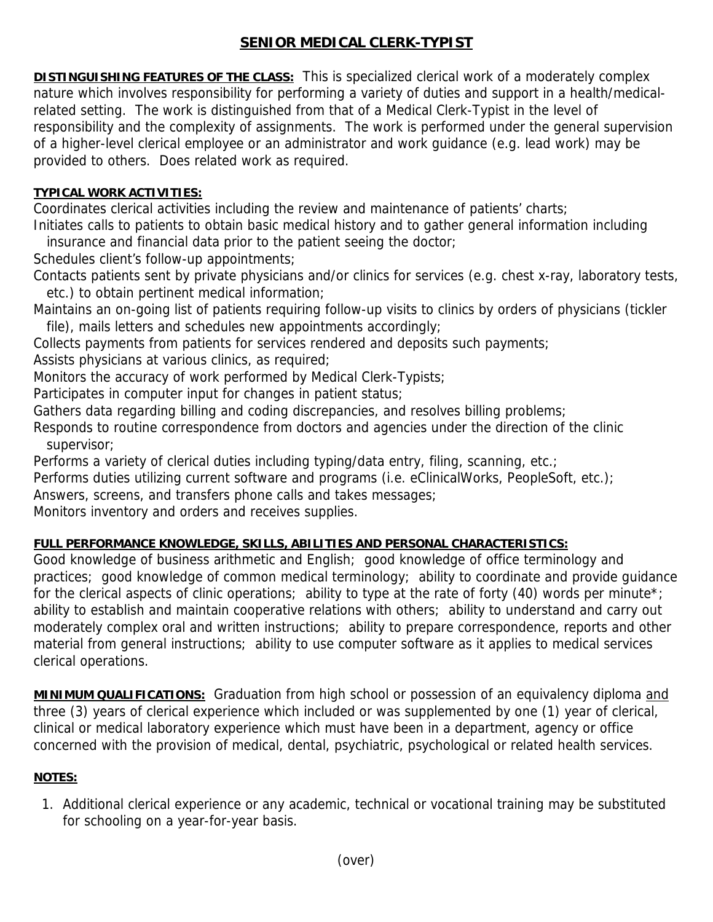## **SENIOR MEDICAL CLERK-TYPIST**

**DISTINGUISHING FEATURES OF THE CLASS:** This is specialized clerical work of a moderately complex nature which involves responsibility for performing a variety of duties and support in a health/medicalrelated setting. The work is distinguished from that of a Medical Clerk-Typist in the level of responsibility and the complexity of assignments. The work is performed under the general supervision of a higher-level clerical employee or an administrator and work guidance (e.g. lead work) may be provided to others. Does related work as required.

## **TYPICAL WORK ACTIVITIES:**

Coordinates clerical activities including the review and maintenance of patients' charts;

Initiates calls to patients to obtain basic medical history and to gather general information including insurance and financial data prior to the patient seeing the doctor;

Schedules client's follow-up appointments;

Contacts patients sent by private physicians and/or clinics for services (e.g. chest x-ray, laboratory tests, etc.) to obtain pertinent medical information;

Maintains an on-going list of patients requiring follow-up visits to clinics by orders of physicians (tickler file), mails letters and schedules new appointments accordingly;

Collects payments from patients for services rendered and deposits such payments;

Assists physicians at various clinics, as required;

Monitors the accuracy of work performed by Medical Clerk-Typists;

Participates in computer input for changes in patient status;

Gathers data regarding billing and coding discrepancies, and resolves billing problems;

Responds to routine correspondence from doctors and agencies under the direction of the clinic supervisor;

Performs a variety of clerical duties including typing/data entry, filing, scanning, etc.;

Performs duties utilizing current software and programs (i.e. eClinicalWorks, PeopleSoft, etc.);

Answers, screens, and transfers phone calls and takes messages;

Monitors inventory and orders and receives supplies.

## **FULL PERFORMANCE KNOWLEDGE, SKILLS, ABILITIES AND PERSONAL CHARACTERISTICS:**

Good knowledge of business arithmetic and English; good knowledge of office terminology and practices; good knowledge of common medical terminology; ability to coordinate and provide guidance for the clerical aspects of clinic operations; ability to type at the rate of forty (40) words per minute<sup>\*</sup>; ability to establish and maintain cooperative relations with others; ability to understand and carry out moderately complex oral and written instructions; ability to prepare correspondence, reports and other material from general instructions; ability to use computer software as it applies to medical services clerical operations.

**MINIMUM QUALIFICATIONS:** Graduation from high school or possession of an equivalency diploma and three (3) years of clerical experience which included or was supplemented by one (1) year of clerical, clinical or medical laboratory experience which must have been in a department, agency or office concerned with the provision of medical, dental, psychiatric, psychological or related health services.

## **NOTES:**

1. Additional clerical experience or any academic, technical or vocational training may be substituted for schooling on a year-for-year basis.